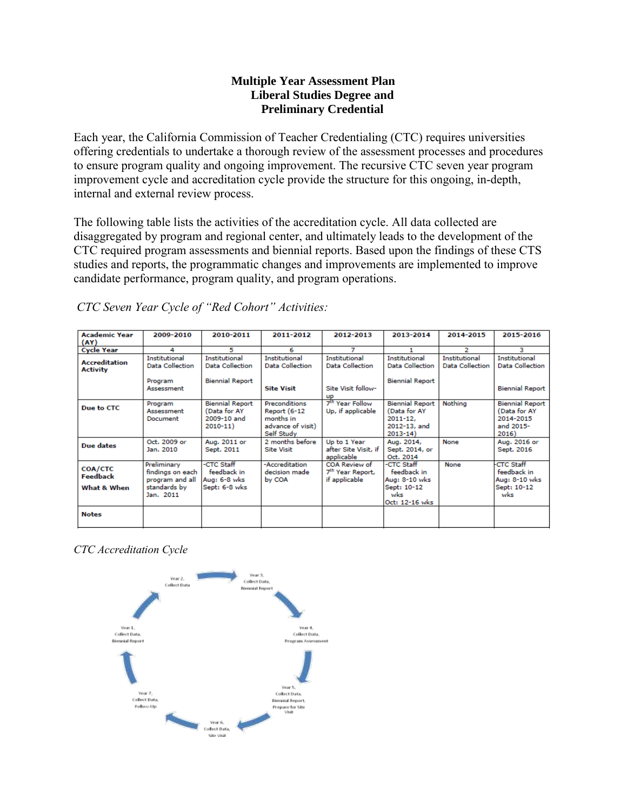## **Multiple Year Assessment Plan Liberal Studies Degree and Preliminary Credential**

Each year, the California Commission of Teacher Credentialing (CTC) requires universities offering credentials to undertake a thorough review of the assessment processes and procedures to ensure program quality and ongoing improvement. The recursive CTC seven year program improvement cycle and accreditation cycle provide the structure for this ongoing, in-depth, internal and external review process.

The following table lists the activities of the accreditation cycle. All data collected are disaggregated by program and regional center, and ultimately leads to the development of the CTC required program assessments and biennial reports. Based upon the findings of these CTS studies and reports, the programmatic changes and improvements are implemented to improve candidate performance, program quality, and program operations.

| <b>Academic Year</b><br>(AY)              | 2009-2010                                                                       | 2010-2011                                                            | 2011-2012                                                                     | 2012-2013                                                      | 2013-2014                                                                             | 2014-2015                               | 2015-2016                                                                 |
|-------------------------------------------|---------------------------------------------------------------------------------|----------------------------------------------------------------------|-------------------------------------------------------------------------------|----------------------------------------------------------------|---------------------------------------------------------------------------------------|-----------------------------------------|---------------------------------------------------------------------------|
| <b>Cycle Year</b>                         | 4                                                                               | 5                                                                    | 6                                                                             | 7                                                              | 1                                                                                     | 2                                       | з                                                                         |
| <b>Accreditation</b><br>Activity          | Institutional<br><b>Data Collection</b>                                         | <b>Institutional</b><br><b>Data Collection</b>                       | Institutional<br><b>Data Collection</b>                                       | <b>Institutional</b><br>Data Collection                        | <b>Institutional</b><br>Data Collection                                               | <b>Institutional</b><br>Data Collection | Institutional<br><b>Data Collection</b>                                   |
|                                           | Program<br>Assessment                                                           | <b>Biennial Report</b>                                               | <b>Site Visit</b>                                                             | Site Visit follow-<br><b>UD</b>                                | <b>Biennial Report</b>                                                                |                                         | <b>Biennial Report</b>                                                    |
| Due to CTC                                | Program<br>Assessment<br>Document                                               | <b>Biennial Report</b><br>(Data for AY<br>2009-10 and<br>$2010 - 11$ | Preconditions<br>Report (6-12<br>months in<br>advance of visit)<br>Self Study | 7 <sup>th</sup> Year Follow<br>Up, if applicable               | <b>Biennial Report</b><br>(Data for AY<br>$2011 - 12.$<br>2012-13, and<br>$2013 - 14$ | Nothing                                 | <b>Biennial Report</b><br>(Data for AY<br>2014-2015<br>and 2015-<br>2016) |
| Due dates                                 | Oct. 2009 or<br>Jan. 2010                                                       | Aug. 2011 or<br>Sept. 2011                                           | 2 months before<br><b>Site Visit</b>                                          | Up to 1 Year<br>after Site Visit, if<br>applicable             | Aug. 2014,<br>Sept. 2014, or<br>Oct. 2014                                             | None                                    | Aug. 2016 or<br>Sept. 2016                                                |
| <b>COA/CTC</b><br>Feedback<br>What & When | Preliminary<br>findings on each<br>program and all<br>standards by<br>Jan. 2011 | -CTC Staff<br>feedback in<br>Aug: 6-8 wks<br>Sept: 6-8 wks           | -Accreditation<br>decision made<br>by COA                                     | COA Review of<br>7 <sup>th</sup> Year Report,<br>if applicable | -CTC Staff<br>feedback in<br>Aug: 8-10 wks<br>Sept: 10-12<br>wks<br>Oct: 12-16 wks    | None                                    | <b>CTC Staff</b><br>feedback in<br>Aug: 8-10 wks<br>Sept: 10-12<br>wks    |
| <b>Notes</b>                              |                                                                                 |                                                                      |                                                                               |                                                                |                                                                                       |                                         |                                                                           |

*CTC Seven Year Cycle of "Red Cohort" Activities:*

*CTC Accreditation Cycle*

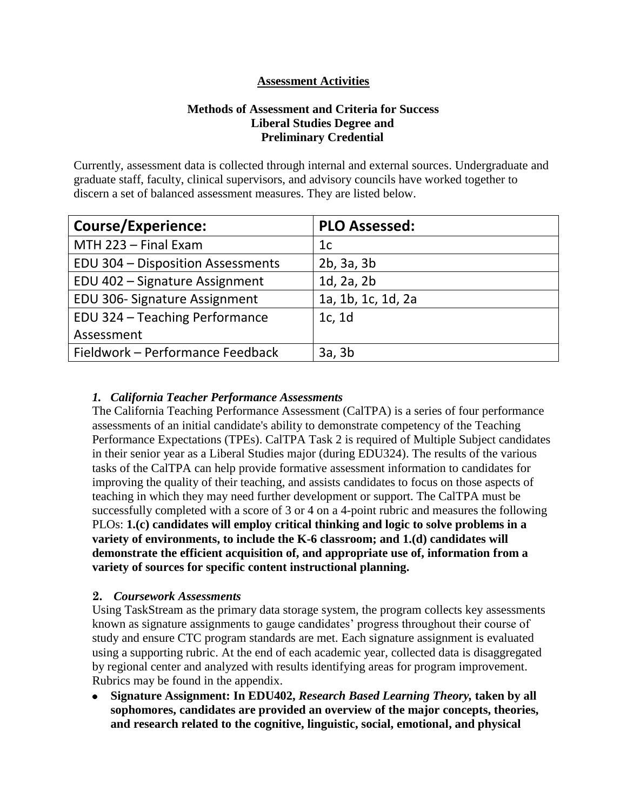# **Assessment Activities**

# **Methods of Assessment and Criteria for Success Liberal Studies Degree and Preliminary Credential**

Currently, assessment data is collected through internal and external sources. Undergraduate and graduate staff, faculty, clinical supervisors, and advisory councils have worked together to discern a set of balanced assessment measures. They are listed below.

| <b>Course/Experience:</b>         | <b>PLO Assessed:</b> |
|-----------------------------------|----------------------|
| MTH 223 - Final Exam              | 1c                   |
| EDU 304 - Disposition Assessments | 2b, 3a, 3b           |
| EDU 402 - Signature Assignment    | $1d$ , $2a$ , $2b$   |
| EDU 306- Signature Assignment     | 1a, 1b, 1c, 1d, 2a   |
| EDU 324 - Teaching Performance    | 1c, 1d               |
| Assessment                        |                      |
| Fieldwork - Performance Feedback  | 3a, 3b               |

### *1. California Teacher Performance Assessments*

The California Teaching [Performance Assessment \(CalTPA\)](https://portal.pointloma.edu/web/education/home/-/wiki/Main/Glossary) is a series of four performance [assessment](https://portal.pointloma.edu/web/education/home/-/wiki/Main/Glossary)s of an initial candidate's ability to demonstrate competency of the [Teaching](https://portal.pointloma.edu/web/education/home/-/wiki/Main/TPES)  [Performance Expectations \(TPEs\).](https://portal.pointloma.edu/web/education/home/-/wiki/Main/TPES) CalTPA Task 2 is required of Multiple Subject candidates in their senior year as a Liberal Studies major (during EDU324). The results of the various tasks of the CalTPA can help provide formative assessment information to candidates for improving the quality of their teaching, and assists candidates to focus on those aspects of teaching in which they may need further development or support. The CalTPA must be successfully completed with a score of 3 or 4 on a 4-point rubric and measures the following PLOs: **1.(c) candidates will employ critical thinking and logic to solve problems in a variety of environments, to include the K-6 classroom; and 1.(d) candidates will demonstrate the efficient acquisition of, and appropriate use of, information from a variety of sources for specific content instructional planning.**

#### **2.** *Coursework Assessments*

Using TaskStream as the primary data storage system, the program collects key assessments known as signature assignments to gauge candidates' progress throughout their course of study and ensure CTC program standards are met. Each signature assignment is evaluated using a supporting rubric. At the end of each academic year, collected data is disaggregated by regional center and analyzed with results identifying areas for program improvement. Rubrics may be found in the appendix.

**Signature Assignment: In EDU402,** *Research Based Learning Theory,* **taken by all sophomores, candidates are provided an overview of the major concepts, theories, and research related to the cognitive, linguistic, social, emotional, and physical**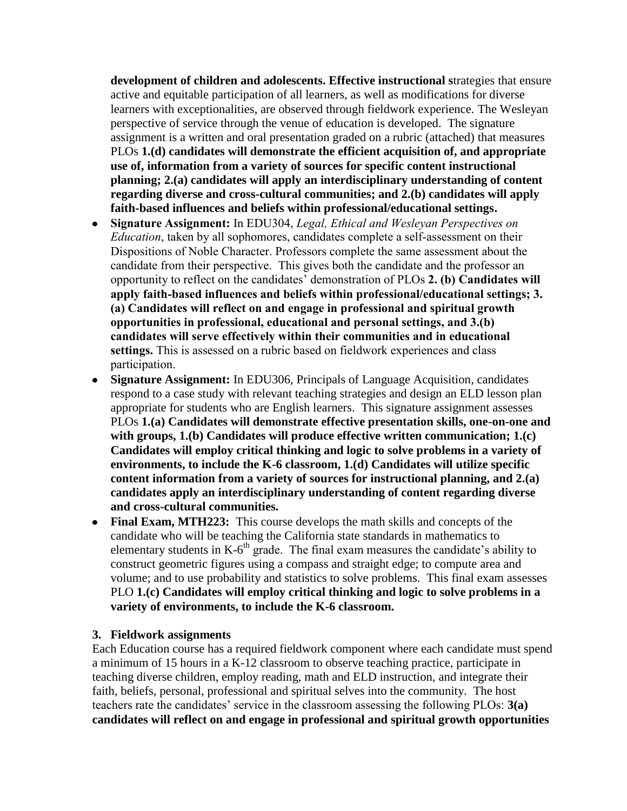**development of children and adolescents. Effective instructional s**trategies that ensure active and equitable participation of all learners, as well as modifications for diverse learners with exceptionalities, are observed through fieldwork experience. The Wesleyan perspective of service through the venue of education is developed. The signature assignment is a written and oral presentation graded on a rubric (attached) that measures PLOs **1.(d) candidates will demonstrate the efficient acquisition of, and appropriate use of, information from a variety of sources for specific content instructional planning; 2.(a) candidates will apply an interdisciplinary understanding of content regarding diverse and cross-cultural communities; and 2.(b) candidates will apply faith-based influences and beliefs within professional/educational settings.**

- **Signature Assignment:** In EDU304, *Legal, Ethical and Wesleyan Perspectives on Education*, taken by all sophomores, candidates complete a self-assessment on their Dispositions of Noble Character. Professors complete the same assessment about the candidate from their perspective. This gives both the candidate and the professor an opportunity to reflect on the candidates' demonstration of PLOs **2. (b) Candidates will apply faith-based influences and beliefs within professional/educational settings; 3. (a) Candidates will reflect on and engage in professional and spiritual growth opportunities in professional, educational and personal settings, and 3.(b) candidates will serve effectively within their communities and in educational settings.** This is assessed on a rubric based on fieldwork experiences and class participation.
- **Signature Assignment:** In EDU306, Principals of Language Acquisition, candidates  $\bullet$ respond to a case study with relevant teaching strategies and design an ELD lesson plan appropriate for students who are English learners. This signature assignment assesses PLOs **1.(a) Candidates will demonstrate effective presentation skills, one-on-one and with groups, 1.(b) Candidates will produce effective written communication; 1.(c) Candidates will employ critical thinking and logic to solve problems in a variety of environments, to include the K-6 classroom, 1.(d) Candidates will utilize specific content information from a variety of sources for instructional planning, and 2.(a) candidates apply an interdisciplinary understanding of content regarding diverse and cross-cultural communities.**
- **Final Exam, MTH223:** This course develops the math skills and concepts of the candidate who will be teaching the California state standards in mathematics to elementary students in  $K$ -6<sup>th</sup> grade. The final exam measures the candidate's ability to construct geometric figures using a compass and straight edge; to compute area and volume; and to use probability and statistics to solve problems. This final exam assesses PLO **1.(c) Candidates will employ critical thinking and logic to solve problems in a variety of environments, to include the K-6 classroom.**

#### **3. Fieldwork assignments**

Each Education course has a required fieldwork component where each candidate must spend a minimum of 15 hours in a K-12 classroom to observe teaching practice, participate in teaching diverse children, employ reading, math and ELD instruction, and integrate their faith, beliefs, personal, professional and spiritual selves into the community. The host teachers rate the candidates' service in the classroom assessing the following PLOs: **3(a) candidates will reflect on and engage in professional and spiritual growth opportunities**